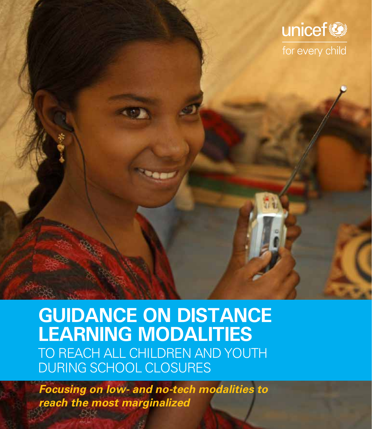

### **GUIDANCE ON DISTANCE LEARNING MODALITIES** TO REACH ALL CHILDREN AND YOUTH DURING SCHOOL CLOSURES

*Focusing on low- and no-tech modalities to reach the most marginalized*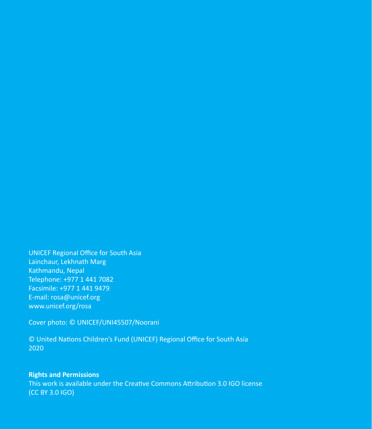UNICEF Regional Office for South Asia Lainchaur, Lekhnath Marg Kathmandu, Nepal Telephone: +977 1 441 7082 Facsimile: +977 1 441 9479 E-mail: [rosa@unicef.org](mailto:mailto:rosa%40unicef.org?subject=) [www.unicef.org/rosa](http://www.unicef.org/rosa)

Cover photo: © UNICEF/UNI45507/Noorani

© United Nations Children's Fund (UNICEF) Regional Office for South Asia 2020

### **Rights and Permissions**

This work is available under the [Creative Commons Attribution 3.0 IGO license](https://creativecommons.org/licenses/by/3.0/igo/) [\(CC BY 3.0 IGO\)](https://creativecommons.org/licenses/by/3.0/igo/)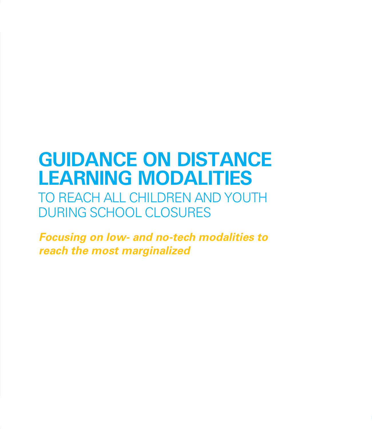### **GUIDANCE ON DISTANCE LEARNING MODALITIES**

TO REACH ALL CHILDREN AND YOUTH DURING SCHOOL CLOSURES

*Focusing on low- and no-tech modalities to reach the most marginalized*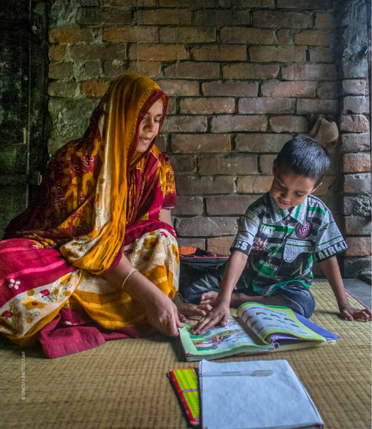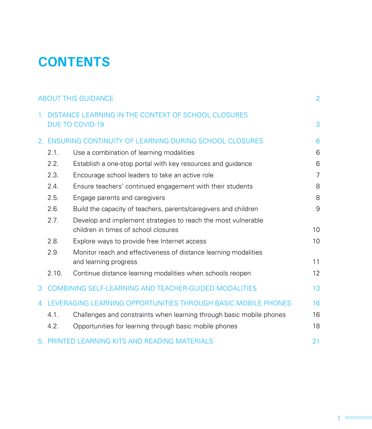### **CONTENTS**

| <b>ABOUT THIS GUIDANCE</b> |                                                           |                                                                                                       | $\overline{2}$ |
|----------------------------|-----------------------------------------------------------|-------------------------------------------------------------------------------------------------------|----------------|
|                            |                                                           | 1. DISTANCE LEARNING IN THE CONTEXT OF SCHOOL CLOSURES<br><b>DUE TO COVID-19</b>                      | 3              |
|                            | 2. ENSURING CONTINUITY OF LEARNING DURING SCHOOL CLOSURES |                                                                                                       | 6              |
|                            | 2.1.                                                      | Use a combination of learning modalities                                                              | 6              |
|                            | 2.2.                                                      | Establish a one-stop portal with key resources and guidance                                           | 6              |
|                            | 2.3.                                                      | Encourage school leaders to take an active role                                                       | $\overline{7}$ |
|                            | 2.4.                                                      | Ensure teachers' continued engagement with their students                                             | 8              |
|                            | 2.5.                                                      | Engage parents and caregivers                                                                         | 8              |
|                            | 2.6.                                                      | Build the capacity of teachers, parents/caregivers and children                                       | 9              |
|                            | 2.7.                                                      | Develop and implement strategies to reach the most vulnerable<br>children in times of school closures | 10             |
|                            | 2.8.                                                      | Explore ways to provide free Internet access                                                          | 10             |
|                            | 2.9.                                                      | Monitor reach and effectiveness of distance learning modalities<br>and learning progress              | 11             |
|                            | 2.10.                                                     | Continue distance learning modalities when schools reopen                                             | 12             |
|                            |                                                           | 3. COMBINING SELF-LEARNING AND TEACHER-GUIDED MODALITIES                                              | 13             |
|                            |                                                           | 4. LEVERAGING LEARNING OPPORTUNITIES THROUGH BASIC MOBILE PHONES                                      | 16             |
|                            | 4.1.                                                      | Challenges and constraints when learning through basic mobile phones                                  | 16             |
|                            | 4.2.                                                      | Opportunities for learning through basic mobile phones                                                | 18             |
|                            |                                                           | 5. PRINTED LEARNING KITS AND READING MATERIALS                                                        | 21             |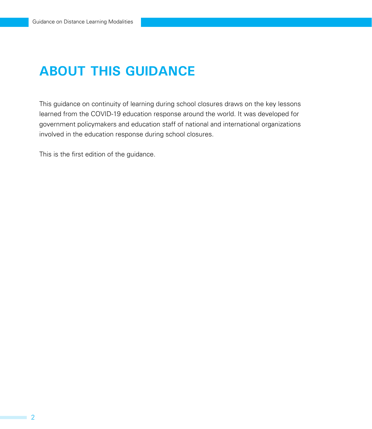### **ABOUT THIS GUIDANCE**

This guidance on continuity of learning during school closures draws on the key lessons learned from the COVID-19 education response around the world. It was developed for government policymakers and education staff of national and international organizations involved in the education response during school closures.

This is the first edition of the guidance.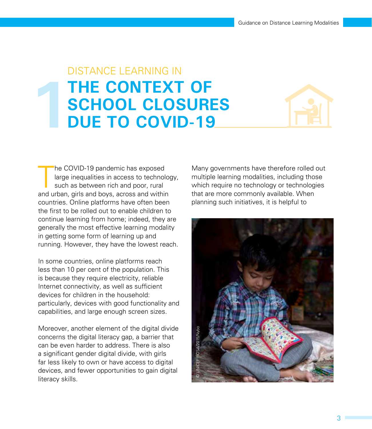## DISTANCE LEARNING IN **THE CONTEXT OF SCHOOL CLOSURES<br>DUE TO COVID-19**



he COVID-19 pandemic has exposed<br>large inequalities in access to technolo<br>such as between rich and poor, rural<br>and urban, girls and boys, across and within he COVID-19 pandemic has exposed large inequalities in access to technology, such as between rich and poor, rural countries. Online platforms have often been the first to be rolled out to enable children to continue learning from home; indeed, they are generally the most effective learning modality in getting some form of learning up and running. However, they have the lowest reach.

In some countries, online platforms reach less than 10 per cent of the population. This is because they require electricity, reliable Internet connectivity, as well as sufficient devices for children in the household: particularly, devices with good functionality and capabilities, and large enough screen sizes.

Moreover, another element of the digital divide concerns the digital literacy gap, a barrier that can be even harder to address. There is also a significant gender digital divide, with girls far less likely to own or have access to digital devices, and fewer opportunities to gain digital literacy skills.

Many governments have therefore rolled out multiple learning modalities, including those which require no technology or technologies that are more commonly available. When planning such initiatives, it is helpful to

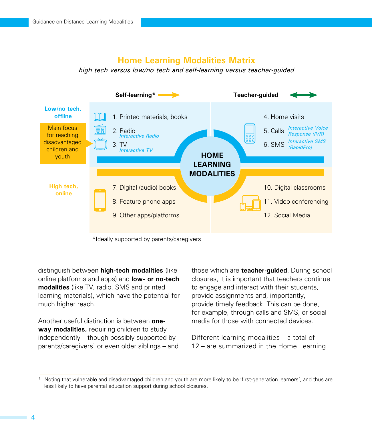### **Home Learning Modalities Matrix**

*high tech versus low/no tech and self-learning versus teacher-guided*



\*Ideally supported by parents/caregivers

distinguish between **high-tech modalities** (like online platforms and apps) and **low- or no-tech modalities** (like TV, radio, SMS and printed learning materials), which have the potential for much higher reach.

Another useful distinction is between **oneway modalities,** requiring children to study independently – though possibly supported by parents/caregivers<sup>1</sup> or even older siblings – and those which are **teacher-guided**. During school closures, it is important that teachers continue to engage and interact with their students, provide assignments and, importantly, provide timely feedback. This can be done, for example, through calls and SMS, or social media for those with connected devices.

Different learning modalities – a total of 12 – are summarized in the Home Learning

<sup>1.</sup> Noting that vulnerable and disadvantaged children and youth are more likely to be 'first-generation learners', and thus are less likely to have parental education support during school closures.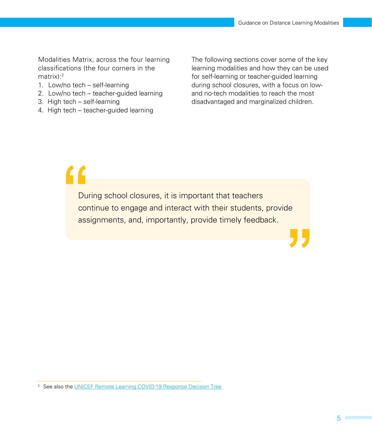Modalities Matrix, across the four learning classifications (the four corners in the matrix):2

- 1. Low/no tech self-learning
- 2. Low/no tech teacher-guided learning
- 3. High tech self-learning
- 4. High tech teacher-guided learning

The following sections cover some of the key learning modalities and how they can be used for self-learning or teacher-guided learning during school closures, with a focus on lowand no-tech modalities to reach the most disadvantaged and marginalized children.

" During school closures, it is important that teachers continue to engage and interact with their students, provide assignments, and, importantly, provide timely feedback.

<sup>&</sup>lt;sup>2.</sup> See also the [UNICEF Remote Learning COVID-19 Response Decision Tree](http://UNICEF Remote Learning COVID-19 Response Decision Tree)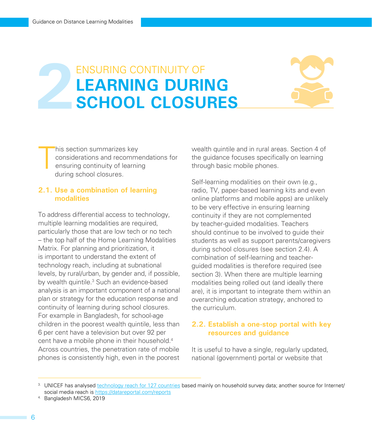# ENSURING CONTINUITY OF LEARNING DURING<br>SCHOOL CLOSURES



T his section summarizes key considerations and recommendations for ensuring continuity of learning during school closures.

### **2.1. Use a combination of learning modalities**

To address differential access to technology, multiple learning modalities are required, particularly those that are low tech or no tech – the top half of the Home Learning Modalities Matrix. For planning and prioritization, it is important to understand the extent of technology reach, including at subnational levels, by rural/urban, by gender and, if possible, by wealth quintile.<sup>3</sup> Such an evidence-based analysis is an important component of a national plan or strategy for the education response and continuity of learning during school closures. For example in Bangladesh, for school-age children in the poorest wealth quintile, less than 6 per cent have a television but over 92 per cent have a mobile phone in their household.<sup>4</sup> Across countries, the penetration rate of mobile phones is consistently high, even in the poorest

wealth quintile and in rural areas. Section 4 of the guidance focuses specifically on learning through basic mobile phones.

Self-learning modalities on their own (e.g., radio, TV, paper-based learning kits and even online platforms and mobile apps) are unlikely to be very effective in ensuring learning continuity if they are not complemented by teacher-guided modalities. Teachers should continue to be involved to guide their students as well as support parents/caregivers during school closures (see section 2.4). A combination of self-learning and teacherguided modalities is therefore required (see section 3). When there are multiple learning modalities being rolled out (and ideally there are), it is important to integrate them within an overarching education strategy, anchored to the curriculum.

### **2.2. Establish a one-stop portal with key resources and guidance**

It is useful to have a single, regularly updated, national (government) portal or website that

<sup>&</sup>lt;sup>3</sup>. UNICEF has analysed [technology reach for 127 countries](https://www.unicef-irc.org/publications/pdf/IRB 2020-10.pdf) based mainly on household survey data; another source for Internet/ social media reach is [https://datareportal.com/reports](https://datareportal.com/reports/)

<sup>4.</sup> Bangladesh MICS6, 2019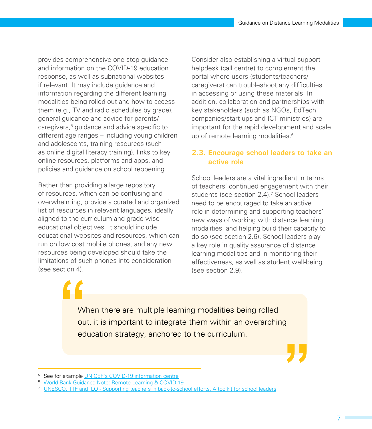provides comprehensive one-stop guidance and information on the COVID-19 education response, as well as subnational websites if relevant. It may include guidance and information regarding the different learning modalities being rolled out and how to access them (e.g., TV and radio schedules by grade), general guidance and advice for parents/ caregivers,5 guidance and advice specific to different age ranges – including young children and adolescents, training resources (such as online digital literacy training), links to key online resources, platforms and apps, and policies and guidance on school reopening.

Rather than providing a large repository of resources, which can be confusing and overwhelming, provide a curated and organized list of resources in relevant languages, ideally aligned to the curriculum and grade-wise educational objectives. It should include educational websites and resources, which can run on low cost mobile phones, and any new resources being developed should take the limitations of such phones into consideration (see section 4).

Consider also establishing a virtual support helpdesk (call centre) to complement the portal where users (students/teachers/ caregivers) can troubleshoot any difficulties in accessing or using these materials. In addition, collaboration and partnerships with key stakeholders (such as NGOs, EdTech companies/start-ups and ICT ministries) are important for the rapid development and scale up of remote learning modalities.<sup>6</sup>

### **2.3. Encourage school leaders to take an active role**

School leaders are a vital ingredient in terms of teachers' continued engagement with their students (see section 2.4).<sup>7</sup> School leaders need to be encouraged to take an active role in determining and supporting teachers' new ways of working with distance learning modalities, and helping build their capacity to do so (see section 2.6). School leaders play a key role in quality assurance of distance learning modalities and in monitoring their effectiveness, as well as student well-being (see section 2.9).

When there are multiple learning modalities being rolled out, it is important to integrate them within an overarching education strategy, anchored to the curriculum.

<sup>5.</sup> See for example [UNICEF's COVID-19 information centre](https://www.unicef.org/coronavirus/covid-19#COVID-19-explainers)

<sup>6.</sup> [World Bank Guidance Note: Remote Learning & COVID-19](http://documents.worldbank.org/curated/en/531681585957264427/pdf/Guidance-Note-on-Remote-Learning-and-COVID-19.pdf)

<sup>7.</sup> [UNESCO, TTF and ILO - Supporting teachers in back-to-school efforts. A toolkit for school leaders](https://teachertaskforce.org/knowledge-hub/supporting-teachers-back-school-efforts-toolkit-school-leaders)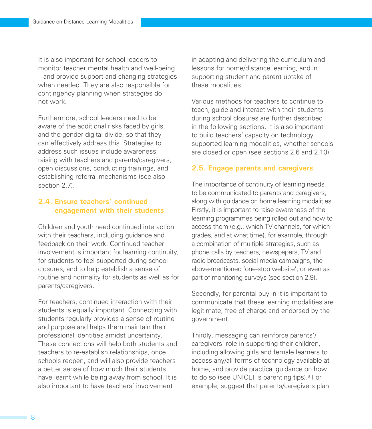It is also important for school leaders to monitor teacher mental health and well-being – and provide support and changing strategies when needed. They are also responsible for contingency planning when strategies do not work.

Furthermore, school leaders need to be aware of the additional risks faced by girls, and the gender digital divide, so that they can effectively address this. Strategies to address such issues include awareness raising with teachers and parents/caregivers, open discussions, conducting trainings, and establishing referral mechanisms (see also section 2.7)

### **2.4. Ensure teachers' continued engagement with their students**

Children and youth need continued interaction with their teachers, including guidance and feedback on their work. Continued teacher involvement is important for learning continuity, for students to feel supported during school closures, and to help establish a sense of routine and normality for students as well as for parents/caregivers.

For teachers, continued interaction with their students is equally important. Connecting with students regularly provides a sense of routine and purpose and helps them maintain their professional identities amidst uncertainty. These connections will help both students and teachers to re-establish relationships, once schools reopen, and will also provide teachers a better sense of how much their students have learnt while being away from school. It is also important to have teachers' involvement

in adapting and delivering the curriculum and lessons for home/distance learning, and in supporting student and parent uptake of these modalities.

Various methods for teachers to continue to teach, guide and interact with their students during school closures are further described in the following sections. It is also important to build teachers' capacity on technology supported learning modalities, whether schools are closed or open (see sections 2.6 and 2.10).

### **2.5. Engage parents and caregivers**

The importance of continuity of learning needs to be communicated to parents and caregivers, along with guidance on home learning modalities. Firstly, it is important to raise awareness of the learning programmes being rolled out and how to access them (e.g., which TV channels, for which grades, and at what time), for example, through a combination of multiple strategies, such as phone calls by teachers, newspapers, TV and radio broadcasts, social media campaigns, the above-mentioned 'one-stop website', or even as part of monitoring surveys (see section 2.9).

Secondly, for parental buy-in it is important to communicate that these learning modalities are legitimate, free of charge and endorsed by the government.

Thirdly, messaging can reinforce parents'/ caregivers' role in supporting their children, including allowing girls and female learners to access any/all forms of technology available at home, and provide practical guidance on how to do so (see UNICEF's parenting tips).<sup>8</sup> For example, suggest that parents/caregivers plan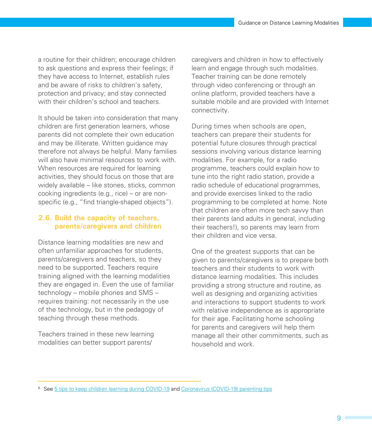a routine for their children; encourage children to ask questions and express their feelings; if they have access to Internet, establish rules and be aware of risks to children's safety, protection and privacy; and stay connected with their children's school and teachers.

It should be taken into consideration that many children are first generation learners, whose parents did not complete their own education and may be illiterate. Written guidance may therefore not always be helpful. Many families will also have minimal resources to work with. When resources are required for learning activities, they should focus on those that are widely available – like stones, sticks, common cooking ingredients (e.g., rice) – or are nonspecific (e.g., "find triangle-shaped objects").

### **2.6. Build the capacity of teachers, parents/caregivers and children**

Distance learning modalities are new and often unfamiliar approaches for students, parents/caregivers and teachers, so they need to be supported. Teachers require training aligned with the learning modalities they are engaged in. Even the use of familiar technology – mobile phones and SMS – requires training: not necessarily in the use of the technology, but in the pedagogy of teaching through these methods.

Teachers trained in these new learning modalities can better support parents/

caregivers and children in how to effectively learn and engage through such modalities. Teacher training can be done remotely through video conferencing or through an online platform, provided teachers have a suitable mobile and are provided with Internet connectivity.

During times when schools are open, teachers can prepare their students for potential future closures through practical sessions involving various distance learning modalities. For example, for a radio programme, teachers could explain how to tune into the right radio station, provide a radio schedule of educational programmes, and provide exercises linked to the radio programming to be completed at home. Note that children are often more tech savvy than their parents (and adults in general, including their teachers!), so parents may learn from their children and vice versa.

One of the greatest supports that can be given to parents/caregivers is to prepare both teachers and their students to work with distance learning modalities. This includes providing a strong structure and routine, as well as designing and organizing activities and interactions to support students to work with relative independence as is appropriate for their age. Facilitating home schooling for parents and caregivers will help them manage all their other commitments, such as household and work.

<sup>8.</sup> See [5 tips to keep children learning during COVID-19](https://www.unicef.org/coronavirus/5-tips-help-keep-children-learning-during-covid-19-pandemic) and [Coronavirus \(COVID-19\) parenting tips](https://www.unicef.org/coronavirus/covid-19-parenting-tips)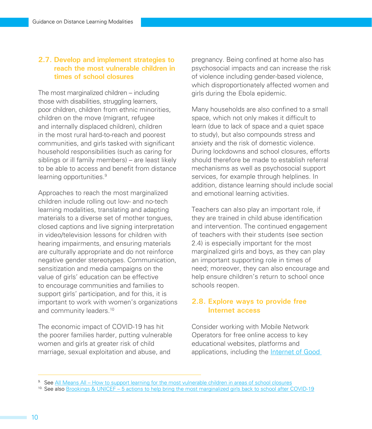### **2.7. Develop and implement strategies to reach the most vulnerable children in times of school closures**

The most marginalized children – including those with disabilities, struggling learners, poor children, children from ethnic minorities, children on the move (migrant, refugee and internally displaced children), children in the most rural hard-to-reach and poorest communities, and girls tasked with significant household responsibilities (such as caring for siblings or ill family members) – are least likely to be able to access and benefit from distance learning opportunities.<sup>9</sup>

Approaches to reach the most marginalized children include rolling out low- and no-tech learning modalities, translating and adapting materials to a diverse set of mother tongues, closed captions and live signing interpretation in video/television lessons for children with hearing impairments, and ensuring materials are culturally appropriate and do not reinforce negative gender stereotypes. Communication, sensitization and media campaigns on the value of girls' education can be effective to encourage communities and families to support girls' participation, and for this, it is important to work with women's organizations and community leaders.<sup>10</sup>

The economic impact of COVID-19 has hit the poorer families harder, putting vulnerable women and girls at greater risk of child marriage, sexual exploitation and abuse, and

pregnancy. Being confined at home also has psychosocial impacts and can increase the risk of violence including gender-based violence, which disproportionately affected women and girls during the Ebola epidemic.

Many households are also confined to a small space, which not only makes it difficult to learn (due to lack of space and a quiet space to study), but also compounds stress and anxiety and the risk of domestic violence. During lockdowns and school closures, efforts should therefore be made to establish referral mechanisms as well as psychosocial support services, for example through helplines. In addition, distance learning should include social and emotional learning activities.

Teachers can also play an important role, if they are trained in child abuse identification and intervention. The continued engagement of teachers with their students (see section 2.4) is especially important for the most marginalized girls and boys, as they can play an important supporting role in times of need; moreover, they can also encourage and help ensure children's return to school once schools reopen.

### **2.8. Explore ways to provide free Internet access**

Consider working with Mobile Network Operators for free online access to key educational websites, platforms and applications, including the Internet of Good

<sup>9.</sup> See [All Means All – How to support learning for the most vulnerable children in areas of school closures](https://www.unicef.org/disabilities/files/All_means_All_-_Equity_and_Inclusion_in_COVID-19_EiE_Response.pdf)

<sup>&</sup>lt;sup>10.</sup> See also [Brookings & UNICEF – 5 actions to help bring the most marginalized girls back to school after COVID-19](https://www.brookings.edu/blog/education-plus-development/2020/05/15/5-actions-to-help-bring-the-most-marginalized-girls-back-to-school-after-covid-19/)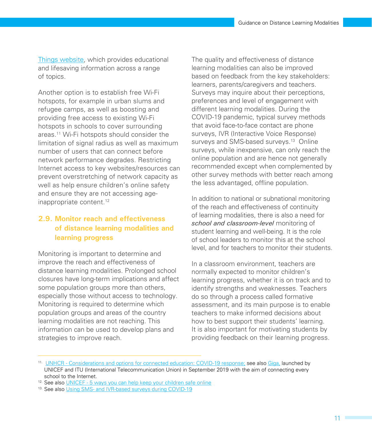[Things website,](https://www.internetofgoodthings.org/) which provides educational and lifesaving information across a range of topics.

Another option is to establish free Wi-Fi hotspots, for example in urban slums and refugee camps, as well as boosting and providing free access to existing Wi-Fi hotspots in schools to cover surrounding areas.11 Wi-Fi hotspots should consider the limitation of signal radius as well as maximum number of users that can connect before network performance degrades. Restricting Internet access to key websites/resources can prevent overstretching of network capacity as well as help ensure children's online safety and ensure they are not accessing ageinappropriate content.<sup>12</sup>

### **2.9. Monitor reach and effectiveness of distance learning modalities and learning progress**

Monitoring is important to determine and improve the reach and effectiveness of distance learning modalities. Prolonged school closures have long-term implications and affect some population groups more than others, especially those without access to technology. Monitoring is required to determine which population groups and areas of the country learning modalities are not reaching. This information can be used to develop plans and strategies to improve reach.

The quality and effectiveness of distance learning modalities can also be improved based on feedback from the key stakeholders: learners, parents/caregivers and teachers. Surveys may inquire about their perceptions, preferences and level of engagement with different learning modalities. During the COVID-19 pandemic, typical survey methods that avoid face-to-face contact are phone surveys, IVR (Interactive Voice Response) surveys and SMS-based surveys.<sup>13</sup> Online surveys, while inexpensive, can only reach the online population and are hence not generally recommended except when complemented by other survey methods with better reach among the less advantaged, offline population.

In addition to national or subnational monitoring of the reach and effectiveness of continuity of learning modalities, there is also a need for *school and classroom-level* monitoring of student learning and well-being. It is the role of school leaders to monitor this at the school level, and for teachers to monitor their students.

In a classroom environment, teachers are normally expected to monitor children's learning progress, whether it is on track and to identify strengths and weaknesses. Teachers do so through a process called formative assessment, and its main purpose is to enable teachers to make informed decisions about how to best support their students' learning. It is also important for motivating students by providing feedback on their learning progress.

<sup>11.</sup> [UNHCR - Considerations and options for connected education: COVID-19 response;](https://www.unhcr.org/5e81cf1d7) see also [Giga,](https://www.unicef.org/innovation/giga) launched by UNICEF and ITU (International Telecommunication Union) in September 2019 with the aim of connecting every school to the Internet.

<sup>12.</sup> See also [UNICEF - 5 ways you can help keep your children safe online](https://www.unicef.org/coronavirus/keep-your-child-safe-online-at-home-covid-19)

<sup>13.</sup> See also [Using SMS- and IVR-based surveys during COVID-19](https://breakthroughactionandresearch.org/wp-content/uploads/2020/05/Using-SMS-and-IVR-Surveys-During-COVID-19-Technical-Brief_v1.1.pdf)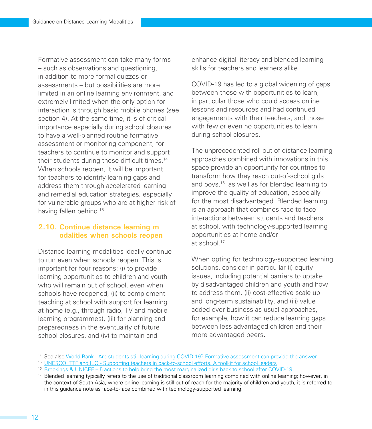Formative assessment can take many forms – such as observations and questioning, in addition to more formal quizzes or assessments – but possibilities are more limited in an online learning environment, and extremely limited when the only option for interaction is through basic mobile phones (see section 4). At the same time, it is of critical importance especially during school closures to have a well-planned routine formative assessment or monitoring component, for teachers to continue to monitor and support their students during these difficult times.<sup>14</sup> When schools reopen, it will be important for teachers to identify learning gaps and address them through accelerated learning and remedial education strategies, especially for vulnerable groups who are at higher risk of having fallen behind.<sup>15</sup>

### **2.10. Continue distance learning m odalities when schools reopen**

Distance learning modalities ideally continue to run even when schools reopen. This is important for four reasons: (i) to provide learning opportunities to children and youth who will remain out of school, even when schools have reopened, (ii) to complement teaching at school with support for learning at home (e.g., through radio, TV and mobile learning programmes), (iii) for planning and preparedness in the eventuality of future school closures, and (iv) to maintain and

enhance digital literacy and blended learning skills for teachers and learners alike.

COVID-19 has led to a global widening of gaps between those with opportunities to learn, in particular those who could access online lessons and resources and had continued engagements with their teachers, and those with few or even no opportunities to learn during school closures.

The unprecedented roll out of distance learning approaches combined with innovations in this space provide an opportunity for countries to transform how they reach out-of-school girls and boys,16 as well as for blended learning to improve the quality of education, especially for the most disadvantaged. Blended learning is an approach that combines face-to-face interactions between students and teachers at school, with technology-supported learning opportunities at home and/or at school.17

When opting for technology-supported learning solutions, consider in particu lar (i) equity issues, including potential barriers to uptake by disadvantaged children and youth and how to address them, (ii) cost-effective scale up and long-term sustainability, and (iii) value added over business-as-usual approaches, for example, how it can reduce learning gaps between less advantaged children and their more advantaged peers.

<sup>&</sup>lt;sup>14.</sup> See also [World Bank - Are students still learning during COVID-19? Formative assessment can provide the answer](https://blogs.worldbank.org/education/are-students-still-learning-during-covid-19-formative-assessment-can-provide-answer)

<sup>15.</sup> [UNESCO, TTF and ILO - Supporting teachers in back-to-school efforts. A toolkit for school leaders](https://teachertaskforce.org/knowledge-hub/supporting-teachers-back-school-efforts-toolkit-school-leaders)

<sup>&</sup>lt;sup>16.</sup> [Brookings & UNICEF – 5 actions to help bring the most marginalized girls back to school after COVID-19](https://www.brookings.edu/blog/education-plus-development/2020/05/15/5-actions-to-help-bring-the-most-marginalized-girls-back-to-school-after-covid-19/)

<sup>&</sup>lt;sup>17.</sup> Blended learning typically refers to the use of traditional classroom learning combined with online learning; however, in the context of South Asia, where online learning is still out of reach for the majority of children and youth, it is referred to in this guidance note as face-to-face combined with technology-supported learning.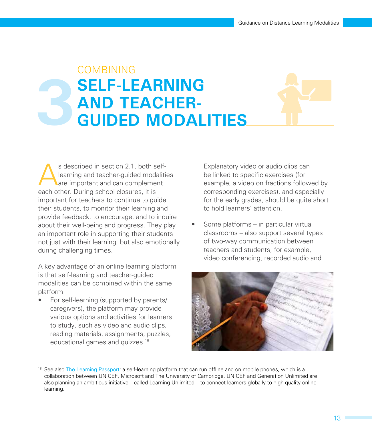### **3 COMBINING SELF-LEARNING AND TEACHER-GUIDED MODALITIES**



s described in section 2.1, both self-<br>learning and teacher-guided modalition<br>are important and can complement learning and teacher-guided modalities are important and can complement each other. During school closures, it is important for teachers to continue to guide their students, to monitor their learning and provide feedback, to encourage, and to inquire about their well-being and progress. They play an important role in supporting their students not just with their learning, but also emotionally during challenging times.

A key advantage of an online learning platform is that self-learning and teacher-guided modalities can be combined within the same platform:

• For self-learning (supported by parents/ caregivers), the platform may provide various options and activities for learners to study, such as video and audio clips, reading materials, assignments, puzzles, educational games and quizzes.18

Explanatory video or audio clips can be linked to specific exercises (for example, a video on fractions followed by corresponding exercises), and especially for the early grades, should be quite short to hold learners' attention.

Some platforms – in particular virtual classrooms – also support several types of two-way communication between teachers and students, for example, video conferencing, recorded audio and



<sup>&</sup>lt;sup>18.</sup> See also [The Learning Passport](https://www.learningpassport.org/): a self-learning platform that can run offline and on mobile phones, which is a collaboration between UNICEF, Microsoft and The University of Cambridge. UNICEF and Generation Unlimited are also planning an ambitious initiative – called Learning Unlimited – to connect learners globally to high quality online learning.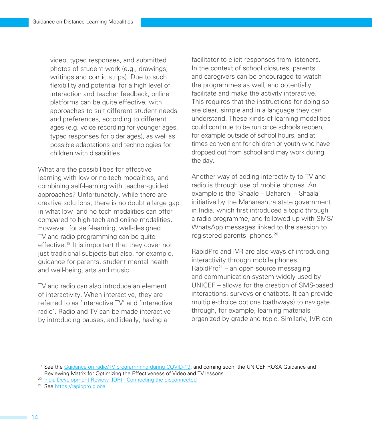video, typed responses, and submitted photos of student work (e.g., drawings, writings and comic strips). Due to such flexibility and potential for a high level of interaction and teacher feedback, online platforms can be quite effective, with approaches to suit different student needs and preferences, according to different ages (e.g. voice recording for younger ages, typed responses for older ages), as well as possible adaptations and technologies for children with disabilities.

What are the possibilities for effective learning with low or no-tech modalities, and combining self-learning with teacher-guided approaches? Unfortunately, while there are creative solutions, there is no doubt a large gap in what low- and no-tech modalities can offer compared to high-tech and online modalities. However, for self-learning, well-designed TV and radio programming can be quite effective.19 It is important that they cover not just traditional subjects but also, for example, guidance for parents, student mental health and well-being, arts and music.

TV and radio can also introduce an element of interactivity. When interactive, they are referred to as 'interactive TV' and 'interactive radio'. Radio and TV can be made interactive by introducing pauses, and ideally, having a

facilitator to elicit responses from listeners. In the context of school closures, parents and caregivers can be encouraged to watch the programmes as well, and potentially facilitate and make the activity interactive. This requires that the instructions for doing so are clear, simple and in a language they can understand. These kinds of learning modalities could continue to be run once schools reopen, for example outside of school hours, and at times convenient for children or youth who have dropped out from school and may work during the day.

Another way of adding interactivity to TV and radio is through use of mobile phones. An example is the 'Shaale – Baharchi – Shaala' initiative by the Maharashtra state government in India, which first introduced a topic through a radio programme, and followed-up with SMS/ WhatsApp messages linked to the session to registered parents' phones.<sup>20</sup>

RapidPro and IVR are also ways of introducing interactivity through mobile phones. RapidPro<sup>21</sup> – an open source messaging and communication system widely used by UNICEF – allows for the creation of SMS-based interactions, surveys or chatbots. It can provide multiple-choice options (pathways) to navigate through, for example, learning materials organized by grade and topic. Similarly, IVR can

<sup>&</sup>lt;sup>19.</sup> See the [Guidance on radio/TV programming during COVID-19](https://drive.google.com/drive/folders/1uSa5xIb0GVA-NZ8ZS7GcUOJhxqOlJVtm); and coming soon, the UNICEF ROSA Guidance and Reviewing Matrix for Optimizing the Effectiveness of Video and TV lessons

<sup>20.</sup> [India Development Review \(IDR\) - Connecting the disconnected](https://idronline.org/connecting-the-disconnected/?utm_source=India+Development+Review&utm_campaign=61ee9a632c-EMAIL_CAMPAIGN_2019_10_01_10_28_COPY_01&utm_medium=email&utm_term=0_2be9adb876-61ee9a632c-75310307)

<sup>21.</sup> See [https://rapidpro.global](https://rapidpro.global/)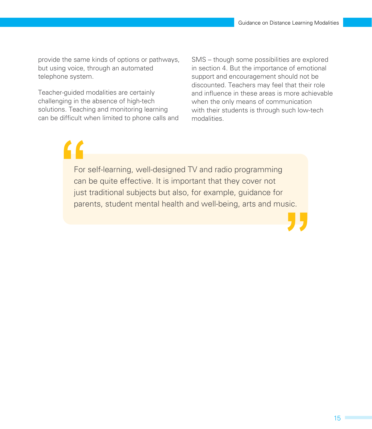provide the same kinds of options or pathways, but using voice, through an automated telephone system.

Teacher-guided modalities are certainly challenging in the absence of high-tech solutions. Teaching and monitoring learning can be difficult when limited to phone calls and SMS – though some possibilities are explored in section 4. But the importance of emotional support and encouragement should not be discounted. Teachers may feel that their role and influence in these areas is more achievable when the only means of communication with their students is through such low-tech modalities.

For self-learning, well-designed TV and radio programming can be quite effective. It is important that they cover not just traditional subjects but also, for example, guidance for parents, student mental health and well-being, arts and music.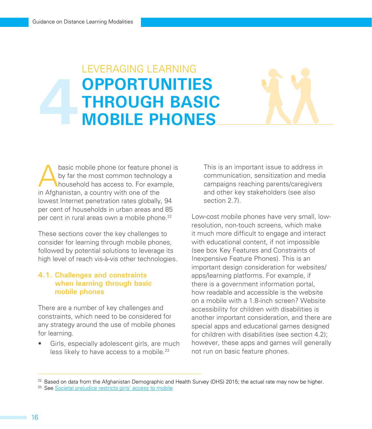### LEVERAGING LEARNING **OPPORTUNITIES THROUGH BASIC MOBILE PHONES**

basic mobile phone (or feature phone) is<br>by far the most common technology a<br>household has access to. For example,<br>in Afghanistan a country with and of the by far the most common technology a household has access to. For example, in Afghanistan, a country with one of the lowest Internet penetration rates globally, 94 per cent of households in urban areas and 85 per cent in rural areas own a mobile phone.<sup>22</sup>

These sections cover the key challenges to consider for learning through mobile phones, followed by potential solutions to leverage its high level of reach vis-à-vis other technologies.

### **4.1. Challenges and constraints when learning through basic mobile phones**

There are a number of key challenges and constraints, which need to be considered for any strategy around the use of mobile phones for learning.

Girls, especially adolescent girls, are much less likely to have access to a mobile.<sup>23</sup>

This is an important issue to address in communication, sensitization and media campaigns reaching parents/caregivers and other key stakeholders (see also section 2.7).

Low-cost mobile phones have very small, lowresolution, non-touch screens, which make it much more difficult to engage and interact with educational content, if not impossible (see box Key Features and Constraints of Inexpensive Feature Phones). This is an important design consideration for websites/ apps/learning platforms. For example, if there is a government information portal, how readable and accessible is the website on a mobile with a 1.8-inch screen? Website accessibility for children with disabilities is another important consideration, and there are special apps and educational games designed for children with disabilities (see section 4.2); however, these apps and games will generally not run on basic feature phones.

 $22.$  Based on data from the Afghanistan Demographic and Health Survey (DHS) 2015; the actual rate may now be higher.

<sup>&</sup>lt;sup>23.</sup> See [Societal prejudice restricts girls' access to mobile](https://www.vodafone.com/news-and-media/vodafone-group-releases/news/societal-prejudice-restricts-girls-access-to-mobile)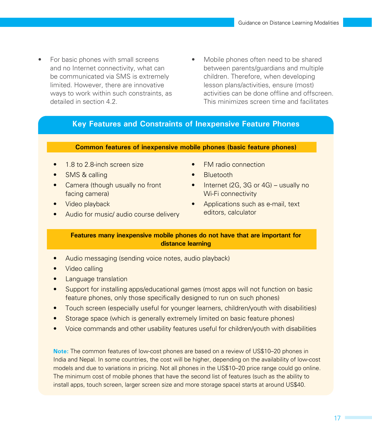- For basic phones with small screens and no Internet connectivity, what can be communicated via SMS is extremely limited. However, there are innovative ways to work within such constraints, as detailed in section 4.2.
- Mobile phones often need to be shared between parents/guardians and multiple children. Therefore, when developing lesson plans/activities, ensure (most) activities can be done offline and offscreen. This minimizes screen time and facilitates

### **Key Features and Constraints of Inexpensive Feature Phones**

### **Common features of inexpensive mobile phones (basic feature phones)**

- 1.8 to 2.8-inch screen size
- **SMS & calling**
- Camera (though usually no front facing camera)
- Video playback
- Audio for music/ audio course delivery
- FM radio connection
- Bluetooth
- Internet (2G, 3G or 4G) usually no Wi-Fi connectivity
- Applications such as e-mail, text editors, calculator

### **Features many inexpensive mobile phones do not have that are important for distance learning**

- Audio messaging (sending voice notes, audio playback)
- Video calling
- Language translation
- Support for installing apps/educational games (most apps will not function on basic feature phones, only those specifically designed to run on such phones)
- Touch screen (especially useful for younger learners, children/youth with disabilities)
- Storage space (which is generally extremely limited on basic feature phones)
- Voice commands and other usability features useful for children/youth with disabilities

**Note:** The common features of low-cost phones are based on a review of US\$10–20 phones in India and Nepal. In some countries, the cost will be higher, depending on the availability of low-cost models and due to variations in pricing. Not all phones in the US\$10–20 price range could go online. The minimum cost of mobile phones that have the second list of features (such as the ability to install apps, touch screen, larger screen size and more storage space) starts at around US\$40.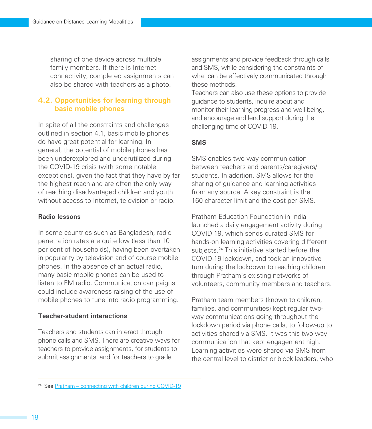sharing of one device across multiple family members. If there is Internet connectivity, completed assignments can also be shared with teachers as a photo.

### **4.2. Opportunities for learning through basic mobile phones**

In spite of all the constraints and challenges outlined in section 4.1, basic mobile phones do have great potential for learning. In general, the potential of mobile phones has been underexplored and underutilized during the COVID-19 crisis (with some notable exceptions), given the fact that they have by far the highest reach and are often the only way of reaching disadvantaged children and youth without access to Internet, television or radio.

### **Radio lessons**

In some countries such as Bangladesh, radio penetration rates are quite low (less than 10 per cent of households), having been overtaken in popularity by television and of course mobile phones. In the absence of an actual radio, many basic mobile phones can be used to listen to FM radio. Communication campaigns could include awareness-raising of the use of mobile phones to tune into radio programming.

### **Teacher-student interactions**

Teachers and students can interact through phone calls and SMS. There are creative ways for teachers to provide assignments, for students to submit assignments, and for teachers to grade

assignments and provide feedback through calls and SMS, while considering the constraints of what can be effectively communicated through these methods.

Teachers can also use these options to provide guidance to students, inquire about and monitor their learning progress and well-being, and encourage and lend support during the challenging time of COVID-19.

### **SMS**

SMS enables two-way communication between teachers and parents/caregivers/ students. In addition, SMS allows for the sharing of guidance and learning activities from any source. A key constraint is the 160-character limit and the cost per SMS.

Pratham Education Foundation in India launched a daily engagement activity during COVID-19, which sends curated SMS for hands-on learning activities covering different subjects.<sup>24</sup> This initiative started before the COVID-19 lockdown, and took an innovative turn during the lockdown to reaching children through Pratham's existing networks of volunteers, community members and teachers.

Pratham team members (known to children, families, and communities) kept regular twoway communications going throughout the lockdown period via phone calls, to follow-up to activities shared via SMS. It was this two-way communication that kept engagement high. Learning activities were shared via SMS from the central level to district or block leaders, who

<sup>24.</sup> See [Pratham – connecting with children during COVID-19](https://www.pratham.org/covid-19-response/connecting-with-children-learn-and-fun/)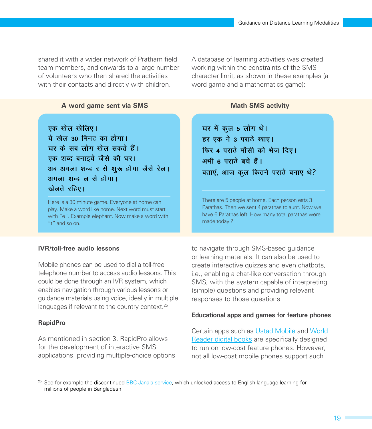shared it with a wider network of Pratham field team members, and onwards to a large number of volunteers who then shared the activities with their contacts and directly with children

**A word game sent via SMS**

A database of learning activities was created working within the constraints of the SMS character limit, as shown in these examples (a word game and a mathematics game):

### **Math SMS activity**

एक खेल खेलिए। <u>ये खेल 30 मिनट का होगा।</u> <u>घर के सब लोग खेल सकते हैं।</u> एक शब्द बनाइये जैसे की घर। अब अगला शब्द र से शुरू होगा जैसे रेल। अगला शब्द ल से होगा। **खेलते** रहिए।

Here is a 30 minute game. Everyone at home can play. Make a word like home. Next word must start with "e". Example elephant. Now make a word with "t" and so on.

### **IVR/toll-free audio lessons**

Mobile phones can be used to dial a toll-free telephone number to access audio lessons. This could be done through an IVR system, which enables navigation through various lessons or guidance materials using voice, ideally in multiple languages if relevant to the country context.<sup>25</sup>

#### **RapidPro**

As mentioned in section 3, RapidPro allows for the development of interactive SMS applications, providing multiple-choice options घर में कुल 5 लोग थे। हर एक ने 3 पराठे खाए। फिर 4 पराठे मौसी को भेज दिए। अभी 6 पराते बचे हैं। बताएं, आज कूल कितने पराठे बनाए थे?

There are 5 people at home. Each person eats 3 Parathas. Then we sent 4 parathas to aunt. Now we have 6 Parathas left. How many total parathas were made today ?

to navigate through SMS-based guidance or learning materials. It can also be used to create interactive quizzes and even chatbots, i.e., enabling a chat-like conversation through SMS, with the system capable of interpreting (simple) questions and providing relevant responses to those questions.

#### **Educational apps and games for feature phones**

Certain apps such as [Ustad Mobile](https://www.ustadmobile.com/) and [World](https://www.worldreader.org/)  [Reader digital books](https://www.worldreader.org/) are specifically designed to run on low-cost feature phones. However, not all low-cost mobile phones support such

<sup>&</sup>lt;sup>25.</sup> See for example the discontinued [BBC Janala service,](https://www.bbc.co.uk/mediaaction/where-we-work/asia/bangladesh/bbc-janala) which unlocked access to English language learning for millions of people in Bangladesh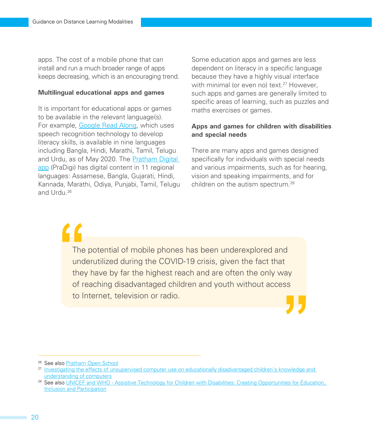apps. The cost of a mobile phone that can install and run a much broader range of apps keeps decreasing, which is an encouraging trend.

#### **Multilingual educational apps and games**

It is important for educational apps or games to be available in the relevant language(s). For example, [Google Read Along,](https://www.blog.google/outreach-initiatives/education/early-access-read-along/) which uses speech recognition technology to develop literacy skills, is available in nine languages including Bangla, Hindi, Marathi, Tamil, Telugu and Urdu, as of May 2020. The [Pratham Digital](https://play.google.com/store/apps/details?id=com.pratham.prathamdigital&hl=en_IN)  [app](https://play.google.com/store/apps/details?id=com.pratham.prathamdigital&hl=en_IN) (PraDigi) has digital content in 11 regional languages: Assamese, Bangla, Gujarati, Hindi, Kannada, Marathi, Odiya, Punjabi, Tamil, Telugu and Urdu.26

Some education apps and games are less dependent on literacy in a specific language because they have a highly visual interface with minimal (or even no) text.<sup>27</sup> However, such apps and games are generally limited to specific areas of learning, such as puzzles and maths exercises or games.

### **Apps and games for children with disabilities and special needs**

There are many apps and games designed specifically for individuals with special needs and various impairments, such as for hearing, vision and speaking impairments, and for children on the autism spectrum.<sup>28</sup>

The potential of mobile phones has been underexplored and underutilized during the COVID-19 crisis, given the fact that they have by far the highest reach and are often the only way of reaching disadvantaged children and youth without access to Internet, television or radio.

26. See also [Pratham Open School](https://www.prathamopenschool.org/)

<sup>27.</sup> Investigating the effects of unsupervised computer use on educationally disadvantaged children's knowledge and [understanding of computers](https://www.researchgate.net/profile/Frank_Van_Cappelle/publication/237134201_Investigating_the_effects_of_unsupervised_computer_use_on_educationally_disadvantaged_children)

<sup>&</sup>lt;sup>28</sup> See also UNICEF and WHO - Assistive Technology for Children with Disabilities: Creating Opportunities for Education, [Inclusion and Participation](https://www.unicef.org/disabilities/files/Assistive-Tech-Web.pdf)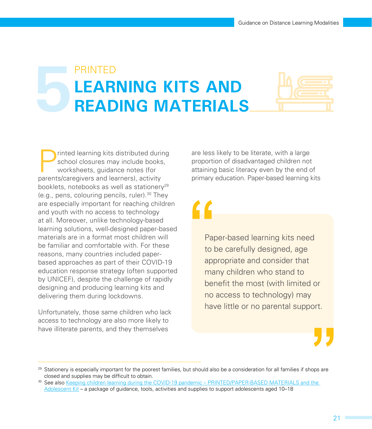# PRINTED **LEARNING KITS AND<br>READING MATERIALS**



Printed learning kits distributed during<br>school closures may include books,<br>worksheets, guidance notes (for<br>parents/caregivers and learners) activity school closures may include books, worksheets, guidance notes (for parents/caregivers and learners), activity booklets, notebooks as well as stationery<sup>29</sup> (e.g., pens, colouring pencils, ruler).30 They are especially important for reaching children and youth with no access to technology at all. Moreover, unlike technology-based learning solutions, well-designed paper-based materials are in a format most children will be familiar and comfortable with. For these reasons, many countries included paperbased approaches as part of their COVID-19 education response strategy (often supported by UNICEF), despite the challenge of rapidly designing and producing learning kits and delivering them during lockdowns.

Unfortunately, those same children who lack access to technology are also more likely to have illiterate parents, and they themselves

are less likely to be literate, with a large proportion of disadvantaged children not attaining basic literacy even by the end of primary education. Paper-based learning kits

## "

Paper-based learning kits need to be carefully designed, age appropriate and consider that many children who stand to benefit the most (with limited or no access to technology) may have little or no parental support.



<sup>&</sup>lt;sup>29.</sup> Stationery is especially important for the poorest families, but should also be a consideration for all families if shops are closed and supplies may be difficult to obtain.

<sup>30.</sup> See also Keeping children learning during the COVID-19 pandemic – PRINTED/PAPER-BASED MATERIALS and the [Adolescent Kit](https://drive.google.com/drive/folders/1K0hNSox-J-9pccPK8JYurvtObx1NVY-S) – a package of guidance, tools, activities and supplies to support adolescents aged 10–18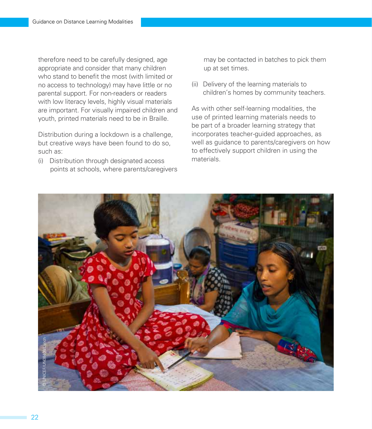therefore need to be carefully designed, age appropriate and consider that many children who stand to benefit the most (with limited or no access to technology) may have little or no parental support. For non-readers or readers with low literacy levels, highly visual materials are important. For visually impaired children and youth, printed materials need to be in Braille.

Distribution during a lockdown is a challenge, but creative ways have been found to do so, such as:

(i) Distribution through designated access points at schools, where parents/caregivers may be contacted in batches to pick them up at set times.

(ii) Delivery of the learning materials to children's homes by community teachers.

As with other self-learning modalities, the use of printed learning materials needs to be part of a broader learning strategy that incorporates teacher-guided approaches, as well as guidance to parents/caregivers on how to effectively support children in using the materials.